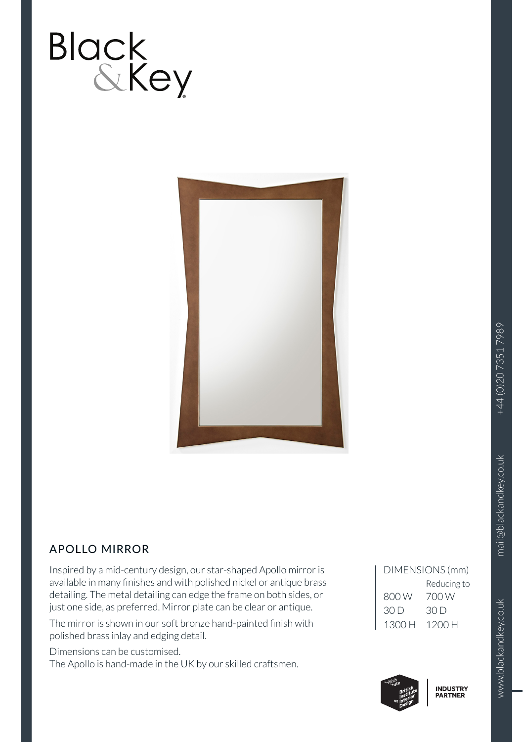

# APOLLO MIRROR

Inspired by a mid-century design, our star-shaped Apollo mirror is available in many finishes and with polished nickel or antique brass detailing. The metal detailing can edge the frame on both sides, or just one side, as preferred. Mirror plate can be clear or antique.

The mirror is shown in our soft bronze hand-painted finish with polished brass inlay and edging detail.

Dimensions can be customised.

The Apollo is hand-made in the UK by our skilled craftsmen.

| DIMENSIONS (mm) |
|-----------------|
| Reducing to     |
| 700 W           |
| 30 D            |
| 1200 H          |
|                 |



www.blackandkey.co.uk